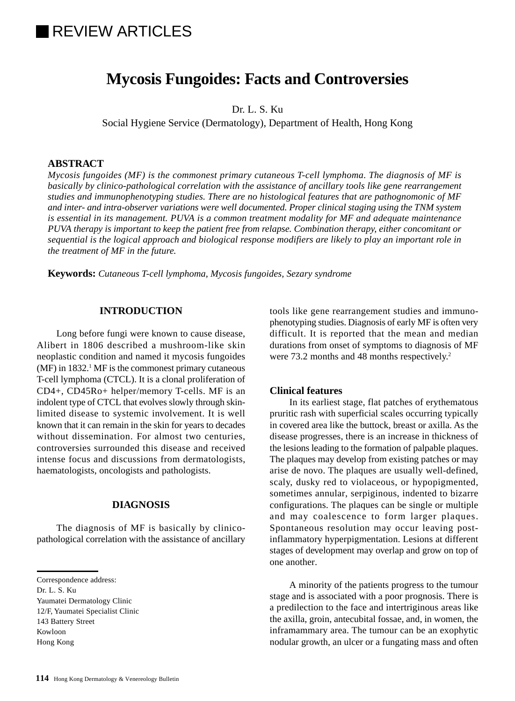# **IREVIEW ARTICLES**

# **Mycosis Fungoides: Facts and Controversies**

Dr. L. S. Ku

Social Hygiene Service (Dermatology), Department of Health, Hong Kong

#### **ABSTRACT**

*Mycosis fungoides (MF) is the commonest primary cutaneous T-cell lymphoma. The diagnosis of MF is basically by clinico-pathological correlation with the assistance of ancillary tools like gene rearrangement studies and immunophenotyping studies. There are no histological features that are pathognomonic of MF and inter- and intra-observer variations were well documented. Proper clinical staging using the TNM system is essential in its management. PUVA is a common treatment modality for MF and adequate maintenance PUVA therapy is important to keep the patient free from relapse. Combination therapy, either concomitant or sequential is the logical approach and biological response modifiers are likely to play an important role in the treatment of MF in the future.*

**Keywords:** *Cutaneous T-cell lymphoma, Mycosis fungoides, Sezary syndrome*

#### **INTRODUCTION**

Long before fungi were known to cause disease, Alibert in 1806 described a mushroom-like skin neoplastic condition and named it mycosis fungoides (MF) in 1832.<sup>1</sup> MF is the commonest primary cutaneous T-cell lymphoma (CTCL). It is a clonal proliferation of CD4+, CD45Ro+ helper/memory T-cells. MF is an indolent type of CTCL that evolves slowly through skinlimited disease to systemic involvement. It is well known that it can remain in the skin for years to decades without dissemination. For almost two centuries, controversies surrounded this disease and received intense focus and discussions from dermatologists, haematologists, oncologists and pathologists.

# **DIAGNOSIS**

The diagnosis of MF is basically by clinicopathological correlation with the assistance of ancillary

Dr. L. S. Ku

Yaumatei Dermatology Clinic 12/F, Yaumatei Specialist Clinic 143 Battery Street

Kowloon

Hong Kong

tools like gene rearrangement studies and immunophenotyping studies. Diagnosis of early MF is often very difficult. It is reported that the mean and median durations from onset of symptoms to diagnosis of MF were 73.2 months and 48 months respectively.<sup>2</sup>

## **Clinical features**

In its earliest stage, flat patches of erythematous pruritic rash with superficial scales occurring typically in covered area like the buttock, breast or axilla. As the disease progresses, there is an increase in thickness of the lesions leading to the formation of palpable plaques. The plaques may develop from existing patches or may arise de novo. The plaques are usually well-defined, scaly, dusky red to violaceous, or hypopigmented, sometimes annular, serpiginous, indented to bizarre configurations. The plaques can be single or multiple and may coalescence to form larger plaques. Spontaneous resolution may occur leaving postinflammatory hyperpigmentation. Lesions at different stages of development may overlap and grow on top of one another.

A minority of the patients progress to the tumour stage and is associated with a poor prognosis. There is a predilection to the face and intertriginous areas like the axilla, groin, antecubital fossae, and, in women, the inframammary area. The tumour can be an exophytic nodular growth, an ulcer or a fungating mass and often

Correspondence address: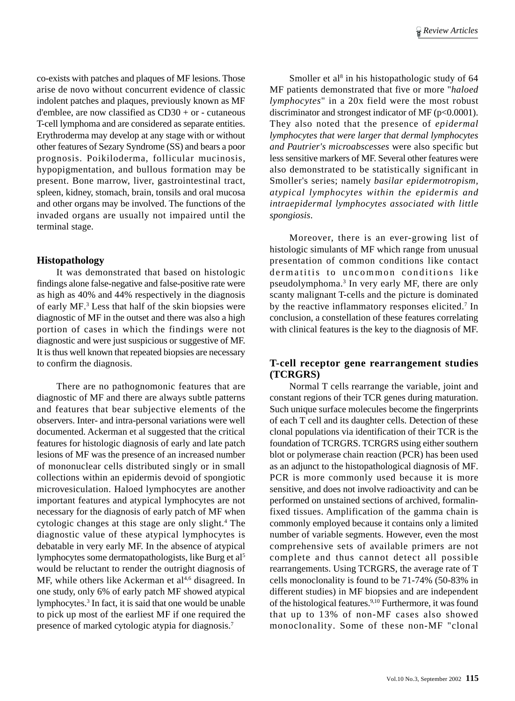co-exists with patches and plaques of MF lesions. Those arise de novo without concurrent evidence of classic indolent patches and plaques, previously known as MF d'emblee, are now classified as  $CD30 + or$  - cutaneous T-cell lymphoma and are considered as separate entities. Erythroderma may develop at any stage with or without other features of Sezary Syndrome (SS) and bears a poor prognosis. Poikiloderma, follicular mucinosis, hypopigmentation, and bullous formation may be present. Bone marrow, liver, gastrointestinal tract, spleen, kidney, stomach, brain, tonsils and oral mucosa and other organs may be involved. The functions of the invaded organs are usually not impaired until the terminal stage.

## **Histopathology**

It was demonstrated that based on histologic findings alone false-negative and false-positive rate were as high as 40% and 44% respectively in the diagnosis of early MF.3 Less that half of the skin biopsies were diagnostic of MF in the outset and there was also a high portion of cases in which the findings were not diagnostic and were just suspicious or suggestive of MF. It is thus well known that repeated biopsies are necessary to confirm the diagnosis.

There are no pathognomonic features that are diagnostic of MF and there are always subtle patterns and features that bear subjective elements of the observers. Inter- and intra-personal variations were well documented. Ackerman et al suggested that the critical features for histologic diagnosis of early and late patch lesions of MF was the presence of an increased number of mononuclear cells distributed singly or in small collections within an epidermis devoid of spongiotic microvesiculation. Haloed lymphocytes are another important features and atypical lymphocytes are not necessary for the diagnosis of early patch of MF when cytologic changes at this stage are only slight.<sup>4</sup> The diagnostic value of these atypical lymphocytes is debatable in very early MF. In the absence of atypical lymphocytes some dermatopathologists, like Burg et al5 would be reluctant to render the outright diagnosis of MF, while others like Ackerman et  $al<sup>4,6</sup>$  disagreed. In one study, only 6% of early patch MF showed atypical lymphocytes.<sup>3</sup> In fact, it is said that one would be unable to pick up most of the earliest MF if one required the presence of marked cytologic atypia for diagnosis.7

Smoller et al<sup>8</sup> in his histopathologic study of 64 MF patients demonstrated that five or more "*haloed lymphocytes*" in a 20x field were the most robust discriminator and strongest indicator of MF (p<0.0001). They also noted that the presence of *epidermal lymphocytes that were larger that dermal lymphocytes and Pautrier's microabscesses* were also specific but less sensitive markers of MF. Several other features were also demonstrated to be statistically significant in Smoller's series; namely *basilar epidermotropism, atypical lymphocytes within the epidermis and intraepidermal lymphocytes associated with little spongiosis*.

Moreover, there is an ever-growing list of histologic simulants of MF which range from unusual presentation of common conditions like contact dermatitis to uncommon conditions like pseudolymphoma.<sup>3</sup> In very early MF, there are only scanty malignant T-cells and the picture is dominated by the reactive inflammatory responses elicited.<sup>7</sup> In conclusion, a constellation of these features correlating with clinical features is the key to the diagnosis of MF.

# **T-cell receptor gene rearrangement studies (TCRGRS)**

Normal T cells rearrange the variable, joint and constant regions of their TCR genes during maturation. Such unique surface molecules become the fingerprints of each T cell and its daughter cells. Detection of these clonal populations via identification of their TCR is the foundation of TCRGRS. TCRGRS using either southern blot or polymerase chain reaction (PCR) has been used as an adjunct to the histopathological diagnosis of MF. PCR is more commonly used because it is more sensitive, and does not involve radioactivity and can be performed on unstained sections of archived, formalinfixed tissues. Amplification of the gamma chain is commonly employed because it contains only a limited number of variable segments. However, even the most comprehensive sets of available primers are not complete and thus cannot detect all possible rearrangements. Using TCRGRS, the average rate of T cells monoclonality is found to be 71-74% (50-83% in different studies) in MF biopsies and are independent of the histological features.<sup>9,10</sup> Furthermore, it was found that up to 13% of non-MF cases also showed monoclonality. Some of these non-MF "clonal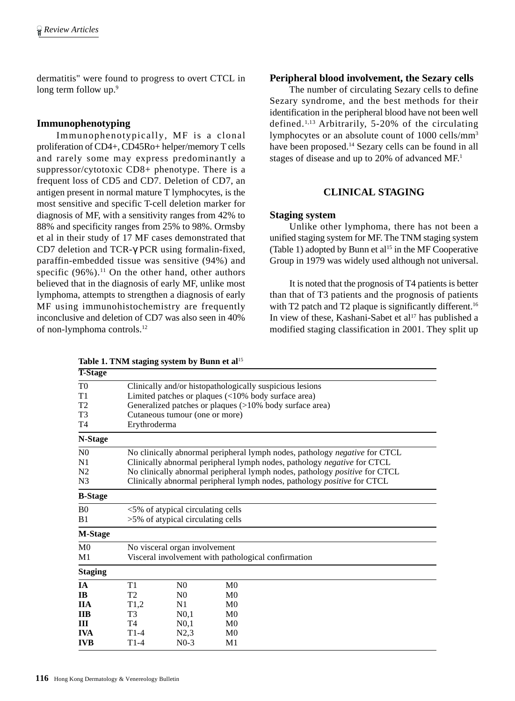dermatitis" were found to progress to overt CTCL in long term follow up.<sup>9</sup>

# **Immunophenotyping**

Immunophenotypically, MF is a clonal proliferation of CD4+, CD45Ro+ helper/memory T cells and rarely some may express predominantly a suppressor/cytotoxic CD8+ phenotype. There is a frequent loss of CD5 and CD7. Deletion of CD7, an antigen present in normal mature T lymphocytes, is the most sensitive and specific T-cell deletion marker for diagnosis of MF, with a sensitivity ranges from 42% to 88% and specificity ranges from 25% to 98%. Ormsby et al in their study of 17 MF cases demonstrated that CD7 deletion and TCR-γ PCR using formalin-fixed, paraffin-embedded tissue was sensitive (94%) and specific  $(96\%)$ .<sup>11</sup> On the other hand, other authors believed that in the diagnosis of early MF, unlike most lymphoma, attempts to strengthen a diagnosis of early MF using immunohistochemistry are frequently inconclusive and deletion of CD7 was also seen in 40% of non-lymphoma controls.12

Table 1. TNM staging system by Bunn et al<sup>15</sup>

# **Peripheral blood involvement, the Sezary cells**

The number of circulating Sezary cells to define Sezary syndrome, and the best methods for their identification in the peripheral blood have not been well defined.1,13 Arbitrarily, 5-20% of the circulating lymphocytes or an absolute count of 1000 cells/mm3 have been proposed.<sup>14</sup> Sezary cells can be found in all stages of disease and up to 20% of advanced MF.1

# **CLINICAL STAGING**

#### **Staging system**

Unlike other lymphoma, there has not been a unified staging system for MF. The TNM staging system (Table 1) adopted by Bunn et al<sup>15</sup> in the MF Cooperative Group in 1979 was widely used although not universal.

It is noted that the prognosis of T4 patients is better than that of T3 patients and the prognosis of patients with T2 patch and T2 plaque is significantly different.<sup>16</sup> In view of these, Kashani-Sabet et al<sup>17</sup> has published a modified staging classification in 2001. They split up

| <b>T-Stage</b> |                                                                            |                                                                                                                                                                                                                                                |                                                     |  |  |  |  |
|----------------|----------------------------------------------------------------------------|------------------------------------------------------------------------------------------------------------------------------------------------------------------------------------------------------------------------------------------------|-----------------------------------------------------|--|--|--|--|
| T0             | Clinically and/or histopathologically suspicious lesions                   |                                                                                                                                                                                                                                                |                                                     |  |  |  |  |
| T1             |                                                                            |                                                                                                                                                                                                                                                | Limited patches or plaques (<10% body surface area) |  |  |  |  |
| T <sub>2</sub> | Generalized patches or plaques (>10% body surface area)                    |                                                                                                                                                                                                                                                |                                                     |  |  |  |  |
| T3             |                                                                            | Cutaneous tumour (one or more)                                                                                                                                                                                                                 |                                                     |  |  |  |  |
| T4             | Erythroderma                                                               |                                                                                                                                                                                                                                                |                                                     |  |  |  |  |
| N-Stage        |                                                                            |                                                                                                                                                                                                                                                |                                                     |  |  |  |  |
| N <sub>0</sub> | No clinically abnormal peripheral lymph nodes, pathology negative for CTCL |                                                                                                                                                                                                                                                |                                                     |  |  |  |  |
| N1             |                                                                            | Clinically abnormal peripheral lymph nodes, pathology negative for CTCL<br>No clinically abnormal peripheral lymph nodes, pathology <i>positive</i> for CTCL<br>Clinically abnormal peripheral lymph nodes, pathology <i>positive</i> for CTCL |                                                     |  |  |  |  |
| N2             |                                                                            |                                                                                                                                                                                                                                                |                                                     |  |  |  |  |
| N <sub>3</sub> |                                                                            |                                                                                                                                                                                                                                                |                                                     |  |  |  |  |
| <b>B-Stage</b> |                                                                            |                                                                                                                                                                                                                                                |                                                     |  |  |  |  |
| B <sub>0</sub> |                                                                            | <5% of atypical circulating cells                                                                                                                                                                                                              |                                                     |  |  |  |  |
| B1             | >5% of atypical circulating cells                                          |                                                                                                                                                                                                                                                |                                                     |  |  |  |  |
| <b>M-Stage</b> |                                                                            |                                                                                                                                                                                                                                                |                                                     |  |  |  |  |
| M <sub>0</sub> | No visceral organ involvement                                              |                                                                                                                                                                                                                                                |                                                     |  |  |  |  |
| M1             | Visceral involvement with pathological confirmation                        |                                                                                                                                                                                                                                                |                                                     |  |  |  |  |
| <b>Staging</b> |                                                                            |                                                                                                                                                                                                                                                |                                                     |  |  |  |  |
| ĪА             | T1                                                                         | N <sub>0</sub>                                                                                                                                                                                                                                 | M <sub>0</sub>                                      |  |  |  |  |
| <b>IB</b>      | T <sub>2</sub>                                                             | N <sub>0</sub>                                                                                                                                                                                                                                 | $_{\rm M0}$                                         |  |  |  |  |
| ПA             | T1,2                                                                       | N1                                                                                                                                                                                                                                             | $_{\rm M0}$                                         |  |  |  |  |
| <b>IIB</b>     | T <sub>3</sub>                                                             | $N0$ , 1                                                                                                                                                                                                                                       | $_{\rm M0}$                                         |  |  |  |  |
| Ш              | T <sub>4</sub>                                                             | $N0$ , 1                                                                                                                                                                                                                                       | M <sub>0</sub>                                      |  |  |  |  |
| <b>IVA</b>     | $T1-4$                                                                     | N2,3                                                                                                                                                                                                                                           | $_{\rm M0}$                                         |  |  |  |  |
| <b>IVB</b>     | $T1-4$                                                                     | $N0-3$                                                                                                                                                                                                                                         | M1                                                  |  |  |  |  |
|                |                                                                            |                                                                                                                                                                                                                                                |                                                     |  |  |  |  |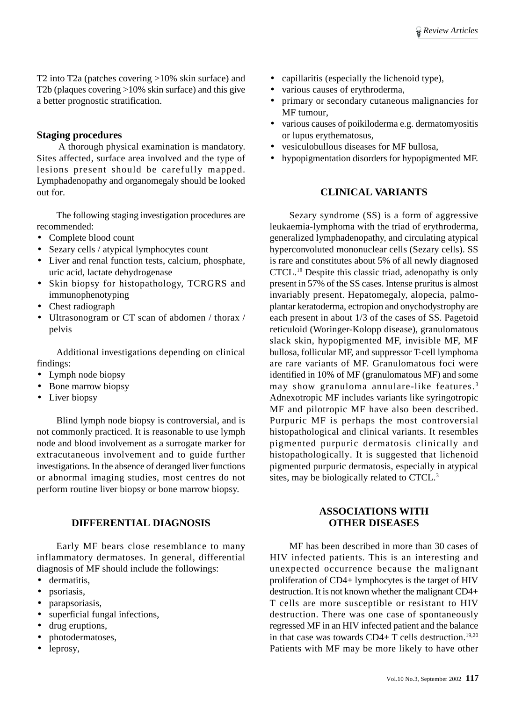T2 into T2a (patches covering >10% skin surface) and T2b (plaques covering >10% skin surface) and this give a better prognostic stratification.

# **Staging procedures**

 A thorough physical examination is mandatory. Sites affected, surface area involved and the type of lesions present should be carefully mapped. Lymphadenopathy and organomegaly should be looked out for.

The following staging investigation procedures are recommended:

- Complete blood count
- Sezary cells / atypical lymphocytes count
- Liver and renal function tests, calcium, phosphate, uric acid, lactate dehydrogenase
- Skin biopsy for histopathology, TCRGRS and immunophenotyping
- Chest radiograph
- Ultrasonogram or CT scan of abdomen / thorax / pelvis

Additional investigations depending on clinical findings:

- Lymph node biopsy
- Bone marrow biopsy
- Liver biopsy

Blind lymph node biopsy is controversial, and is not commonly practiced. It is reasonable to use lymph node and blood involvement as a surrogate marker for extracutaneous involvement and to guide further investigations. In the absence of deranged liver functions or abnormal imaging studies, most centres do not perform routine liver biopsy or bone marrow biopsy.

# **DIFFERENTIAL DIAGNOSIS**

Early MF bears close resemblance to many inflammatory dermatoses. In general, differential diagnosis of MF should include the followings:

- dermatitis
- psoriasis,
- parapsoriasis,
- superficial fungal infections,
- drug eruptions,
- photodermatoses,
- leprosy,
- capillaritis (especially the lichenoid type),
- various causes of erythroderma,
- primary or secondary cutaneous malignancies for MF tumour,
- various causes of poikiloderma e.g. dermatomyositis or lupus erythematosus,
- vesiculobullous diseases for MF bullosa,
- hypopigmentation disorders for hypopigmented MF.

# **CLINICAL VARIANTS**

Sezary syndrome (SS) is a form of aggressive leukaemia-lymphoma with the triad of erythroderma, generalized lymphadenopathy, and circulating atypical hyperconvoluted mononuclear cells (Sezary cells). SS is rare and constitutes about 5% of all newly diagnosed CTCL.18 Despite this classic triad, adenopathy is only present in 57% of the SS cases. Intense pruritus is almost invariably present. Hepatomegaly, alopecia, palmoplantar keratoderma, ectropion and onychodystrophy are each present in about 1/3 of the cases of SS. Pagetoid reticuloid (Woringer-Kolopp disease), granulomatous slack skin, hypopigmented MF, invisible MF, MF bullosa, follicular MF, and suppressor T-cell lymphoma are rare variants of MF. Granulomatous foci were identified in 10% of MF (granulomatous MF) and some may show granuloma annulare-like features. <sup>3</sup> Adnexotropic MF includes variants like syringotropic MF and pilotropic MF have also been described. Purpuric MF is perhaps the most controversial histopathological and clinical variants. It resembles pigmented purpuric dermatosis clinically and histopathologically. It is suggested that lichenoid pigmented purpuric dermatosis, especially in atypical sites, may be biologically related to CTCL.3

# **ASSOCIATIONS WITH OTHER DISEASES**

MF has been described in more than 30 cases of HIV infected patients. This is an interesting and unexpected occurrence because the malignant proliferation of CD4+ lymphocytes is the target of HIV destruction. It is not known whether the malignant CD4+ T cells are more susceptible or resistant to HIV destruction. There was one case of spontaneously regressed MF in an HIV infected patient and the balance in that case was towards  $CD4+T$  cells destruction.<sup>19,20</sup> Patients with MF may be more likely to have other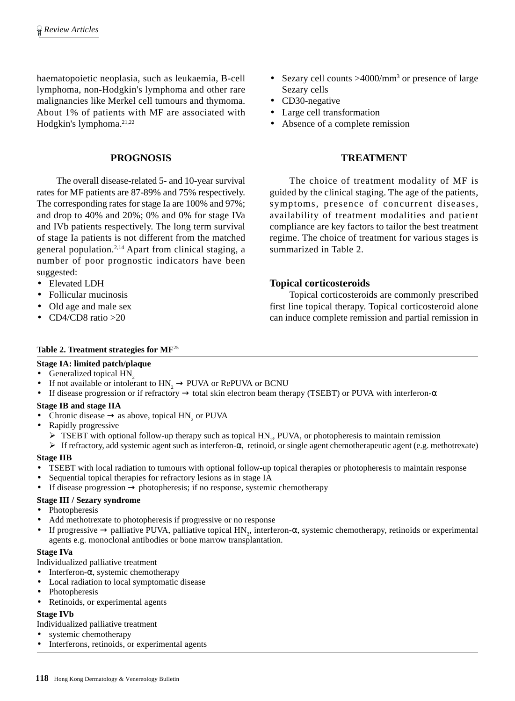haematopoietic neoplasia, such as leukaemia, B-cell lymphoma, non-Hodgkin's lymphoma and other rare malignancies like Merkel cell tumours and thymoma. About 1% of patients with MF are associated with Hodgkin's lymphoma.21,22

# **PROGNOSIS**

The overall disease-related 5- and 10-year survival rates for MF patients are 87-89% and 75% respectively. The corresponding rates for stage Ia are 100% and 97%; and drop to 40% and 20%; 0% and 0% for stage IVa and IVb patients respectively. The long term survival of stage Ia patients is not different from the matched general population.2,14 Apart from clinical staging, a number of poor prognostic indicators have been suggested:

- Elevated LDH
- Follicular mucinosis
- Old age and male sex
- CD4/CD8 ratio >20

## • Sezary cell counts >4000/mm<sup>3</sup> or presence of large Sezary cells

- CD30-negative
- Large cell transformation
- Absence of a complete remission

#### **TREATMENT**

The choice of treatment modality of MF is guided by the clinical staging. The age of the patients, symptoms, presence of concurrent diseases, availability of treatment modalities and patient compliance are key factors to tailor the best treatment regime. The choice of treatment for various stages is summarized in Table 2.

## **Topical corticosteroids**

Topical corticosteroids are commonly prescribed first line topical therapy. Topical corticosteroid alone can induce complete remission and partial remission in

#### **Table 2. Treatment strategies for MF**<sup>25</sup>

# **Stage IA: limited patch/plaque**

- Generalized topical HN<sub>2</sub>
- If not available or intolerant to  $HN_2 \rightarrow PUVA$  or RePUVA or BCNU<br>• If disease progression or if refractory  $\rightarrow$  total skin electron beam the
- If disease progression or if refractory → total skin electron beam therapy (TSEBT) or PUVA with interferon-α

#### **Stage IB and stage IIA**

- Chronic disease  $\rightarrow$  as above, topical HN<sub>2</sub> or PUVA
- Rapidly progressive
	- $\triangleright$  TSEBT with optional follow-up therapy such as topical HN<sub>2</sub>, PUVA, or photopheresis to maintain remission
- $\triangleright$  If refractory, add systemic agent such as interferon- $\alpha$ , retinoid, or single agent chemotherapeutic agent (e.g. methotrexate) **Stage IIB**
- TSEBT with local radiation to tumours with optional follow-up topical therapies or photopheresis to maintain response
- Sequential topical therapies for refractory lesions as in stage IA
- If disease progression  $\rightarrow$  photopheresis; if no response, systemic chemotherapy

#### **Stage III / Sezary syndrome**

- Photopheresis
- Add methotrexate to photopheresis if progressive or no response
- If progressive  $\rightarrow$  palliative PUVA, palliative topical HN<sub>2</sub>, interferon- $\alpha$ , systemic chemotherapy, retinoids or experimental agents e.g. monoclonal antibodies or bone marrow transplantation.

#### **Stage IVa**

Individualized palliative treatment

- Interferon- $\alpha$ , systemic chemotherapy
- Local radiation to local symptomatic disease
- **Photopheresis**
- Retinoids, or experimental agents

#### **Stage IVb**

Individualized palliative treatment

- systemic chemotherapy
- Interferons, retinoids, or experimental agents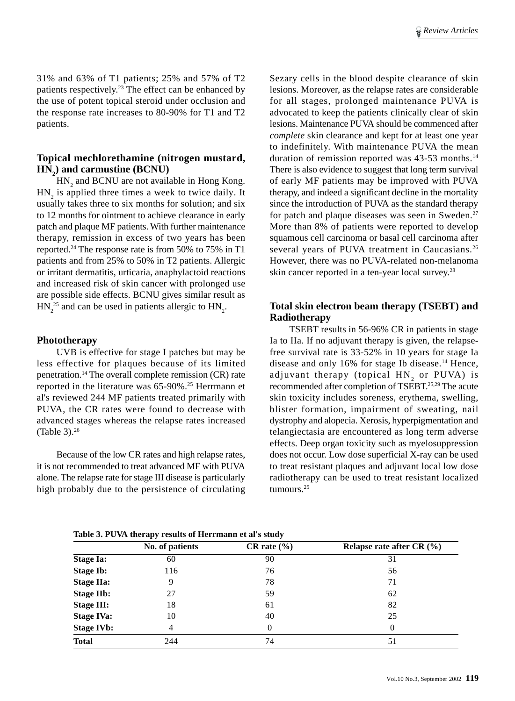31% and 63% of T1 patients; 25% and 57% of T2 patients respectively.23 The effect can be enhanced by the use of potent topical steroid under occlusion and the response rate increases to 80-90% for T1 and T2 patients.

# **Topical mechlorethamine (nitrogen mustard, HN2 ) and carmustine (BCNU)**

 $HN<sub>2</sub>$  and BCNU are not available in Hong Kong.  $HN_2$  is applied three times a week to twice daily. It usually takes three to six months for solution; and six to 12 months for ointment to achieve clearance in early patch and plaque MF patients. With further maintenance therapy, remission in excess of two years has been reported.24 The response rate is from 50% to 75% in T1 patients and from 25% to 50% in T2 patients. Allergic or irritant dermatitis, urticaria, anaphylactoid reactions and increased risk of skin cancer with prolonged use are possible side effects. BCNU gives similar result as  $HN_2^{25}$  and can be used in patients allergic to  $HN_2$ .

#### **Phototherapy**

UVB is effective for stage I patches but may be less effective for plaques because of its limited penetration.14 The overall complete remission (CR) rate reported in the literature was 65-90%.25 Herrmann et al's reviewed 244 MF patients treated primarily with PUVA, the CR rates were found to decrease with advanced stages whereas the relapse rates increased (Table 3).26

Because of the low CR rates and high relapse rates, it is not recommended to treat advanced MF with PUVA alone. The relapse rate for stage III disease is particularly high probably due to the persistence of circulating Sezary cells in the blood despite clearance of skin lesions. Moreover, as the relapse rates are considerable for all stages, prolonged maintenance PUVA is advocated to keep the patients clinically clear of skin lesions. Maintenance PUVA should be commenced after *complete* skin clearance and kept for at least one year to indefinitely. With maintenance PUVA the mean duration of remission reported was 43-53 months.14 There is also evidence to suggest that long term survival of early MF patients may be improved with PUVA therapy, and indeed a significant decline in the mortality since the introduction of PUVA as the standard therapy for patch and plaque diseases was seen in Sweden.<sup>27</sup> More than 8% of patients were reported to develop squamous cell carcinoma or basal cell carcinoma after several years of PUVA treatment in Caucasians.<sup>26</sup> However, there was no PUVA-related non-melanoma skin cancer reported in a ten-year local survey.28

# **Total skin electron beam therapy (TSEBT) and Radiotherapy**

TSEBT results in 56-96% CR in patients in stage Ia to IIa. If no adjuvant therapy is given, the relapsefree survival rate is 33-52% in 10 years for stage Ia disease and only 16% for stage Ib disease.14 Hence, adjuvant therapy (topical  ${\tt HN}_2$  or  ${\tt PUVA}$ ) is recommended after completion of TSEBT.25,29 The acute skin toxicity includes soreness, erythema, swelling, blister formation, impairment of sweating, nail dystrophy and alopecia. Xerosis, hyperpigmentation and telangiectasia are encountered as long term adverse effects. Deep organ toxicity such as myelosuppression does not occur. Low dose superficial X-ray can be used to treat resistant plaques and adjuvant local low dose radiotherapy can be used to treat resistant localized tumours.25

**Table 3. PUVA therapy results of Herrmann et al's study**

|                   | No. of patients | $CR$ rate $(\% )$ | Relapse rate after CR (%) |
|-------------------|-----------------|-------------------|---------------------------|
| <b>Stage Ia:</b>  | 60              | 90                | 31                        |
| <b>Stage Ib:</b>  | 116             | 76                | 56                        |
| <b>Stage IIa:</b> | 9               | 78                | 71                        |
| <b>Stage IIb:</b> | 27              | 59                | 62                        |
| <b>Stage III:</b> | 18              | 61                | 82                        |
| <b>Stage IVa:</b> | 10              | 40                | 25                        |
| <b>Stage IVb:</b> | 4               | $\Omega$          | $\Omega$                  |
| <b>Total</b>      | 244             | 74                | 51                        |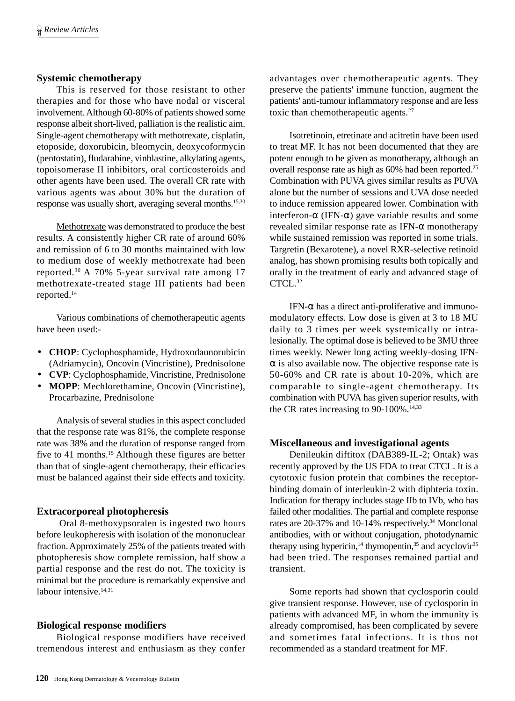# **Systemic chemotherapy**

This is reserved for those resistant to other therapies and for those who have nodal or visceral involvement. Although 60-80% of patients showed some response albeit short-lived, palliation is the realistic aim. Single-agent chemotherapy with methotrexate, cisplatin, etoposide, doxorubicin, bleomycin, deoxycoformycin (pentostatin), fludarabine, vinblastine, alkylating agents, topoisomerase II inhibitors, oral corticosteroids and other agents have been used. The overall CR rate with various agents was about 30% but the duration of response was usually short, averaging several months.15,30

Methotrexate was demonstrated to produce the best results. A consistently higher CR rate of around 60% and remission of 6 to 30 months maintained with low to medium dose of weekly methotrexate had been reported.30 A 70% 5-year survival rate among 17 methotrexate-treated stage III patients had been reported.14

Various combinations of chemotherapeutic agents have been used:-

- **CHOP**: Cyclophosphamide, Hydroxodaunorubicin (Adriamycin), Oncovin (Vincristine), Prednisolone
- **CVP**: Cyclophosphamide, Vincristine, Prednisolone
- **MOPP**: Mechlorethamine, Oncovin (Vincristine), Procarbazine, Prednisolone

Analysis of several studies in this aspect concluded that the response rate was 81%, the complete response rate was 38% and the duration of response ranged from five to 41 months.15 Although these figures are better than that of single-agent chemotherapy, their efficacies must be balanced against their side effects and toxicity.

#### **Extracorporeal photopheresis**

 Oral 8-methoxypsoralen is ingested two hours before leukopheresis with isolation of the mononuclear fraction. Approximately 25% of the patients treated with photopheresis show complete remission, half show a partial response and the rest do not. The toxicity is minimal but the procedure is remarkably expensive and labour intensive.<sup>14,31</sup>

#### **Biological response modifiers**

Biological response modifiers have received tremendous interest and enthusiasm as they confer advantages over chemotherapeutic agents. They preserve the patients' immune function, augment the patients' anti-tumour inflammatory response and are less toxic than chemotherapeutic agents.<sup>27</sup>

Isotretinoin, etretinate and acitretin have been used to treat MF. It has not been documented that they are potent enough to be given as monotherapy, although an overall response rate as high as 60% had been reported.25 Combination with PUVA gives similar results as PUVA alone but the number of sessions and UVA dose needed to induce remission appeared lower. Combination with interferon-α (IFN-α) gave variable results and some revealed similar response rate as IFN-α monotherapy while sustained remission was reported in some trials. Targretin (Bexarotene), a novel RXR-selective retinoid analog, has shown promising results both topically and orally in the treatment of early and advanced stage of  $CTCI<sub>1</sub><sup>32</sup>$ 

IFN-α has a direct anti-proliferative and immunomodulatory effects. Low dose is given at 3 to 18 MU daily to 3 times per week systemically or intralesionally. The optimal dose is believed to be 3MU three times weekly. Newer long acting weekly-dosing IFN- $\alpha$  is also available now. The objective response rate is 50-60% and CR rate is about 10-20%, which are comparable to single-agent chemotherapy. Its combination with PUVA has given superior results, with the CR rates increasing to  $90-100\%$ .<sup>14,33</sup>

#### **Miscellaneous and investigational agents**

Denileukin diftitox (DAB389-IL-2; Ontak) was recently approved by the US FDA to treat CTCL. It is a cytotoxic fusion protein that combines the receptorbinding domain of interleukin-2 with diphteria toxin. Indication for therapy includes stage IIb to IVb, who has failed other modalities. The partial and complete response rates are 20-37% and 10-14% respectively.34 Monclonal antibodies, with or without conjugation, photodynamic therapy using hypericin,<sup>14</sup> thymopentin,<sup>35</sup> and acyclovir<sup>35</sup> had been tried. The responses remained partial and transient.

Some reports had shown that cyclosporin could give transient response. However, use of cyclosporin in patients with advanced MF, in whom the immunity is already compromised, has been complicated by severe and sometimes fatal infections. It is thus not recommended as a standard treatment for MF.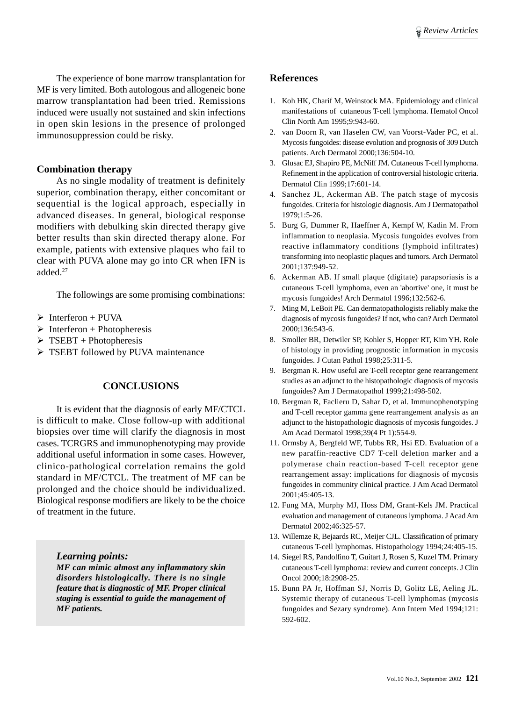The experience of bone marrow transplantation for MF is very limited. Both autologous and allogeneic bone marrow transplantation had been tried. Remissions induced were usually not sustained and skin infections in open skin lesions in the presence of prolonged immunosuppression could be risky.

# **Combination therapy**

As no single modality of treatment is definitely superior, combination therapy, either concomitant or sequential is the logical approach, especially in advanced diseases. In general, biological response modifiers with debulking skin directed therapy give better results than skin directed therapy alone. For example, patients with extensive plaques who fail to clear with PUVA alone may go into CR when IFN is added.27

The followings are some promising combinations:

- $\triangleright$  Interferon + PUVA
- $\triangleright$  Interferon + Photopheresis
- $\triangleright$  TSEBT + Photopheresis
- > TSEBT followed by PUVA maintenance

## **CONCLUSIONS**

It is evident that the diagnosis of early MF/CTCL is difficult to make. Close follow-up with additional biopsies over time will clarify the diagnosis in most cases. TCRGRS and immunophenotyping may provide additional useful information in some cases. However, clinico-pathological correlation remains the gold standard in MF/CTCL. The treatment of MF can be prolonged and the choice should be individualized. Biological response modifiers are likely to be the choice of treatment in the future.

*Learning points:*

*MF can mimic almost any inflammatory skin disorders histologically. There is no single feature that is diagnostic of MF. Proper clinical staging is essential to guide the management of MF patients.*

#### **References**

- 1. Koh HK, Charif M, Weinstock MA. Epidemiology and clinical manifestations of cutaneous T-cell lymphoma. Hematol Oncol Clin North Am 1995;9:943-60.
- 2. van Doorn R, van Haselen CW, van Voorst-Vader PC, et al. Mycosis fungoides: disease evolution and prognosis of 309 Dutch patients. Arch Dermatol 2000;136:504-10.
- 3. Glusac EJ, Shapiro PE, McNiff JM. Cutaneous T-cell lymphoma. Refinement in the application of controversial histologic criteria. Dermatol Clin 1999;17:601-14.
- 4. Sanchez JL, Ackerman AB. The patch stage of mycosis fungoides. Criteria for histologic diagnosis. Am J Dermatopathol 1979;1:5-26.
- 5. Burg G, Dummer R, Haeffner A, Kempf W, Kadin M. From inflammation to neoplasia. Mycosis fungoides evolves from reactive inflammatory conditions (lymphoid infiltrates) transforming into neoplastic plaques and tumors. Arch Dermatol 2001;137:949-52.
- 6. Ackerman AB. If small plaque (digitate) parapsoriasis is a cutaneous T-cell lymphoma, even an 'abortive' one, it must be mycosis fungoides! Arch Dermatol 1996;132:562-6.
- 7. Ming M, LeBoit PE. Can dermatopathologists reliably make the diagnosis of mycosis fungoides? If not, who can? Arch Dermatol 2000;136:543-6.
- 8. Smoller BR, Detwiler SP, Kohler S, Hopper RT, Kim YH. Role of histology in providing prognostic information in mycosis fungoides. J Cutan Pathol 1998;25:311-5.
- 9. Bergman R. How useful are T-cell receptor gene rearrangement studies as an adjunct to the histopathologic diagnosis of mycosis fungoides? Am J Dermatopathol 1999;21:498-502.
- 10. Bergman R, Faclieru D, Sahar D, et al. Immunophenotyping and T-cell receptor gamma gene rearrangement analysis as an adjunct to the histopathologic diagnosis of mycosis fungoides. J Am Acad Dermatol 1998;39(4 Pt 1):554-9.
- 11. Ormsby A, Bergfeld WF, Tubbs RR, Hsi ED. Evaluation of a new paraffin-reactive CD7 T-cell deletion marker and a polymerase chain reaction-based T-cell receptor gene rearrangement assay: implications for diagnosis of mycosis fungoides in community clinical practice. J Am Acad Dermatol 2001;45:405-13.
- 12. Fung MA, Murphy MJ, Hoss DM, Grant-Kels JM. Practical evaluation and management of cutaneous lymphoma. J Acad Am Dermatol 2002;46:325-57.
- 13. Willemze R, Bejaards RC, Meijer CJL. Classification of primary cutaneous T-cell lymphomas. Histopathology 1994;24:405-15.
- 14. Siegel RS, Pandolfino T, Guitart J, Rosen S, Kuzel TM. Primary cutaneous T-cell lymphoma: review and current concepts. J Clin Oncol 2000;18:2908-25.
- 15. Bunn PA Jr, Hoffman SJ, Norris D, Golitz LE, Aeling JL. Systemic therapy of cutaneous T-cell lymphomas (mycosis fungoides and Sezary syndrome). Ann Intern Med 1994;121: 592-602.